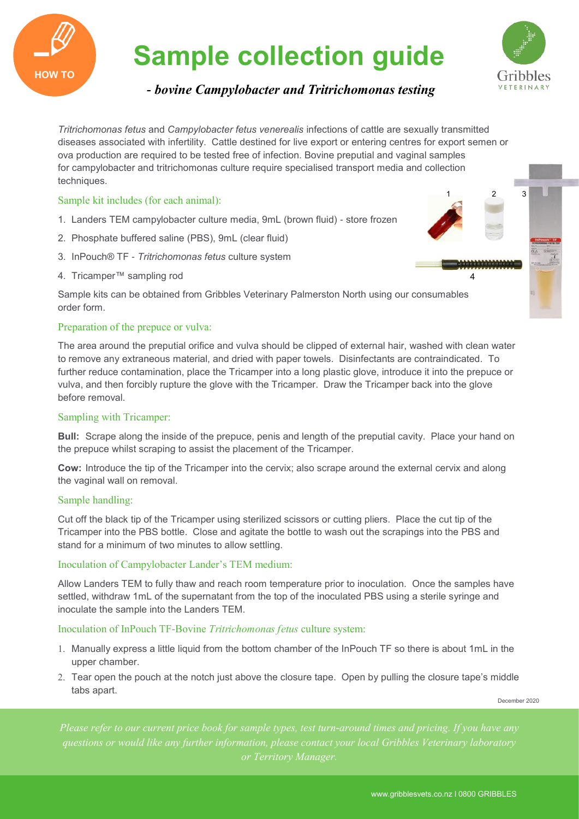

# **Sample collection guide**



1 2 3

4

*- bovine Campylobacter and Tritrichomonas testing*

*Tritrichomonas fetus* and *Campylobacter fetus venerealis* infections of cattle are sexually transmitted diseases associated with infertility. Cattle destined for live export or entering centres for export semen or ova production are required to be tested free of infection. Bovine preputial and vaginal samples for campylobacter and tritrichomonas culture require specialised transport media and collection techniques.

Sample kit includes (for each animal):

- 1. Landers TEM campylobacter culture media, 9mL (brown fluid) store frozen
- 2. Phosphate buffered saline (PBS), 9mL (clear fluid)
- 3. InPouch® TF *Tritrichomonas fetus* culture system
- 4. Tricamper™ sampling rod

Sample kits can be obtained from Gribbles Veterinary Palmerston North using our consumables order form.

## Preparation of the prepuce or vulva:

The area around the preputial orifice and vulva should be clipped of external hair, washed with clean water to remove any extraneous material, and dried with paper towels. Disinfectants are contraindicated. To further reduce contamination, place the Tricamper into a long plastic glove, introduce it into the prepuce or vulva, and then forcibly rupture the glove with the Tricamper. Draw the Tricamper back into the glove before removal.

# Sampling with Tricamper:

**Bull:** Scrape along the inside of the prepuce, penis and length of the preputial cavity. Place your hand on the prepuce whilst scraping to assist the placement of the Tricamper.

**Cow:** Introduce the tip of the Tricamper into the cervix; also scrape around the external cervix and along the vaginal wall on removal.

# Sample handling:

Cut off the black tip of the Tricamper using sterilized scissors or cutting pliers. Place the cut tip of the Tricamper into the PBS bottle. Close and agitate the bottle to wash out the scrapings into the PBS and stand for a minimum of two minutes to allow settling.

#### Inoculation of Campylobacter Lander's TEM medium:

Allow Landers TEM to fully thaw and reach room temperature prior to inoculation. Once the samples have settled, withdraw 1mL of the supernatant from the top of the inoculated PBS using a sterile syringe and inoculate the sample into the Landers TEM.

#### Inoculation of InPouch TF-Bovine *Tritrichomonas fetus* culture system:

- 1. Manually express a little liquid from the bottom chamber of the InPouch TF so there is about 1mL in the upper chamber.
- 2. Tear open the pouch at the notch just above the closure tape. Open by pulling the closure tape's middle tabs apart.

December 2020